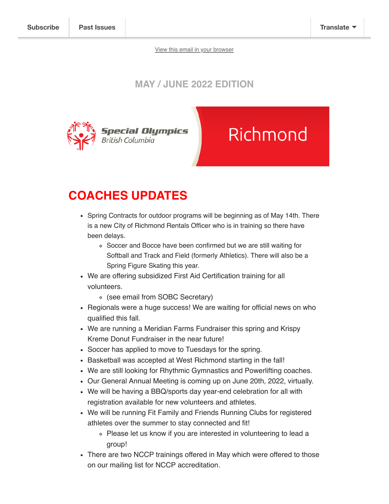View this email in your browser

### MAY / JUNE 2022 EDITION



# Richmond

## COACHES UPDATES

- Spring Contracts for outdoor programs will be beginning as of May 14th. There is a new City of Richmond Rentals Officer who is in training so there have been delays.
	- Soccer and Bocce have been confirmed but we are still waiting for Softball and Track and Field (formerly Athletics). There will also be a Spring Figure Skating this year.
- We are offering subsidized First Aid Certification training for all volunteers.
	- (see email from SOBC Secretary)
- Regionals were a huge success! We are waiting for official news on who qualified this fall.
- We are running a Meridian Farms Fundraiser this spring and Krispy Kreme Donut Fundraiser in the near future!
- Soccer has applied to move to Tuesdays for the spring.
- Basketball was accepted at West Richmond starting in the fall!
- We are still looking for Rhythmic Gymnastics and Powerlifting coaches.
- Our General Annual Meeting is coming up on June 20th, 2022, virtually.
- We will be having a BBQ/sports day year-end celebration for all with registration available for new volunteers and athletes.
- We will be running Fit Family and Friends Running Clubs for registered athletes over the summer to stay connected and fit!
	- Please let us know if you are interested in volunteering to lead a group!
- There are two NCCP trainings offered in May which were offered to those on our mailing list for NCCP accreditation.